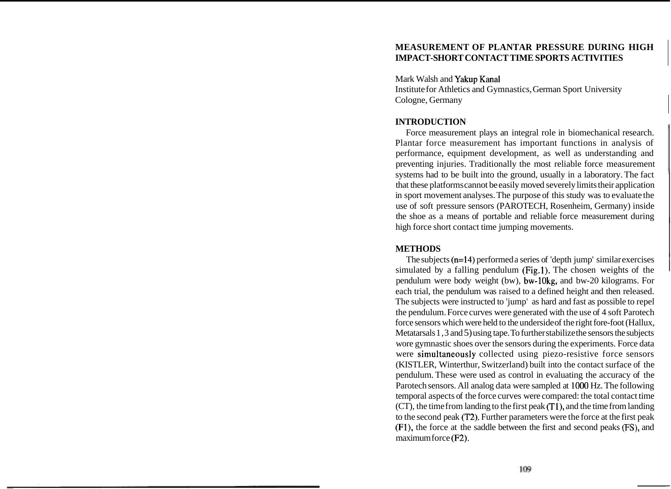# **MEASUREMENT OF PLANTAR PRESSURE DURING HIGH IMPACT-SHORT CONTACT TIME SPORTS ACTIVITIES**

Mark Walsh and Yakup Kana1

Institute for Athletics and Gymnastics, German Sport University Cologne, Germany

## **INTRODUCTION**

Force measurement plays an integral role in biomechanical research. Plantar force measurement has important functions in analysis of performance, equipment development, as well as understanding and preventing injuries. Traditionally the most reliable force measurement systems had to be built into the ground, usually in a laboratory. The fact that these platforms cannot be easily moved severely limits their application in sport movement analyses. The purpose of this study was to evaluate the use of soft pressure sensors (PAROTECH, Rosenheim, Germany) inside the shoe as a means of portable and reliable force measurement during high force short contact time jumping movements.

### **METHODS**

The subjects (n=14) performed a series of 'depth jump' similar exercises simulated by a falling pendulum (Fig.1). The chosen weights of the pendulum were body weight (bw), bw-lOkg, and bw-20 kilograms. For each trial, the pendulum was raised to a defined height and then released. The subjects were instructed to 'jump' as hard and fast as possible to repel the pendulum. Force curves were generated with the use of 4 soft Parotech force sensors which were held to the underside of the right fore-foot (Hallux, Metatarsals 1,3 and 5) using tape. To further stabilize the sensors the subjects wore gymnastic shoes over the sensors during the experiments. Force data were simultaneously collected using piezo-resistive force sensors (KISTLER, Winterthur, Switzerland) built into the contact surface of the pendulum. These were used as control in evaluating the accuracy of the Parotech sensors. All analog data were sampled at 1000 Hz. The following temporal aspects of the force curves were compared: the total contact time (CT), the time from landing to the first peak (TI), and the time from landing to the second peak (T2). Further parameters were the force at the first peak (Fl), the force at the saddle between the first and second peaks **PS),** and maximum force (F2).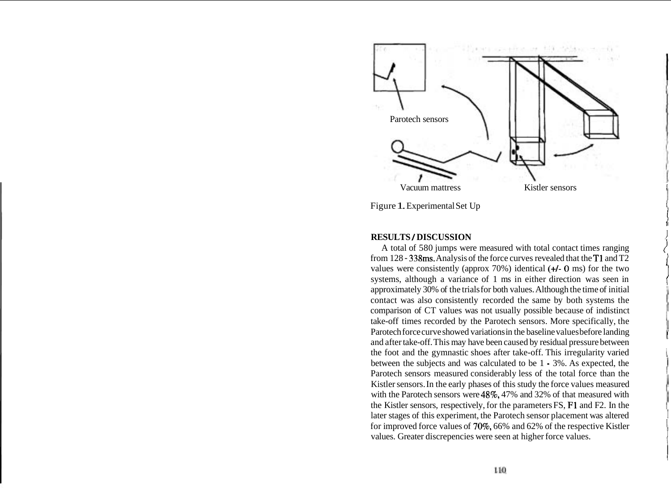

**RESULTS** I **DISCUSSION** <sup>I</sup> A total of 580 jumps were measured with total contact times ranging from 128 - 338ms. Analysis of the force curves revealed that the T1 and T2 values were consistently (approx  $70\%$ ) identical ( $+$ I- 0 ms) for the two systems, although a variance of 1 ms in either direction was seen in approximately 30% of the trials for both values. Although the time of initial contact was also consistently recorded the same by both systems the comparison of CT values was not usually possible because of indistinct take-off times recorded by the Parotech sensors. More specifically, the Parotech force curve showed variations in the baseline values before landing and after take-off. This may have been caused by residual pressure between the foot and the gymnastic shoes after take-off. This irregularity varied between the subjects and was calculated to be 1 - 3%. As expected, the Parotech sensors measured considerably less of the total force than the Kistler sensors. In the early phases of this study the force values measured with the Parotech sensors were 48%, 47% and 32% of that measured with the Kistler sensors, respectively, for the parameters FS, F1 and F2. In the later stages of this experiment, the Parotech sensor placement was altered for improved force values of 70%, 66% and 62% of the respective Kistler values. Greater discrepencies were seen at higher force values.